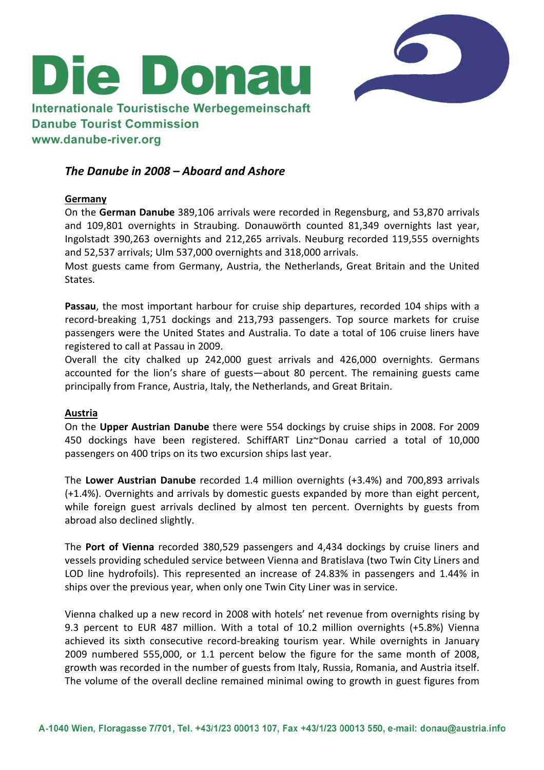

# Internationale Touristische Werbegemeinschaft **Danube Tourist Commission** www.danube-river.org

Die Donau

# The Danube in 2008 – Aboard and Ashore

#### Germany

On the German Danube 389,106 arrivals were recorded in Regensburg, and 53,870 arrivals and 109,801 overnights in Straubing. Donauwörth counted 81,349 overnights last year, Ingolstadt 390,263 overnights and 212,265 arrivals. Neuburg recorded 119,555 overnights and 52,537 arrivals; Ulm 537,000 overnights and 318,000 arrivals.

Most guests came from Germany, Austria, the Netherlands, Great Britain and the United States.

Passau, the most important harbour for cruise ship departures, recorded 104 ships with a record-breaking 1,751 dockings and 213,793 passengers. Top source markets for cruise passengers were the United States and Australia. To date a total of 106 cruise liners have registered to call at Passau in 2009.

Overall the city chalked up 242,000 guest arrivals and 426,000 overnights. Germans accounted for the lion's share of guests—about 80 percent. The remaining guests came principally from France, Austria, Italy, the Netherlands, and Great Britain.

#### Austria

On the Upper Austrian Danube there were 554 dockings by cruise ships in 2008. For 2009 450 dockings have been registered. SchiffART Linz~Donau carried a total of 10,000 passengers on 400 trips on its two excursion ships last year.

The Lower Austrian Danube recorded 1.4 million overnights (+3.4%) and 700,893 arrivals (+1.4%). Overnights and arrivals by domestic guests expanded by more than eight percent, while foreign guest arrivals declined by almost ten percent. Overnights by guests from abroad also declined slightly.

The Port of Vienna recorded 380,529 passengers and 4,434 dockings by cruise liners and vessels providing scheduled service between Vienna and Bratislava (two Twin City Liners and LOD line hydrofoils). This represented an increase of 24.83% in passengers and 1.44% in ships over the previous year, when only one Twin City Liner was in service.

Vienna chalked up a new record in 2008 with hotels' net revenue from overnights rising by 9.3 percent to EUR 487 million. With a total of 10.2 million overnights (+5.8%) Vienna achieved its sixth consecutive record-breaking tourism year. While overnights in January 2009 numbered 555,000, or 1.1 percent below the figure for the same month of 2008, growth was recorded in the number of guests from Italy, Russia, Romania, and Austria itself. The volume of the overall decline remained minimal owing to growth in guest figures from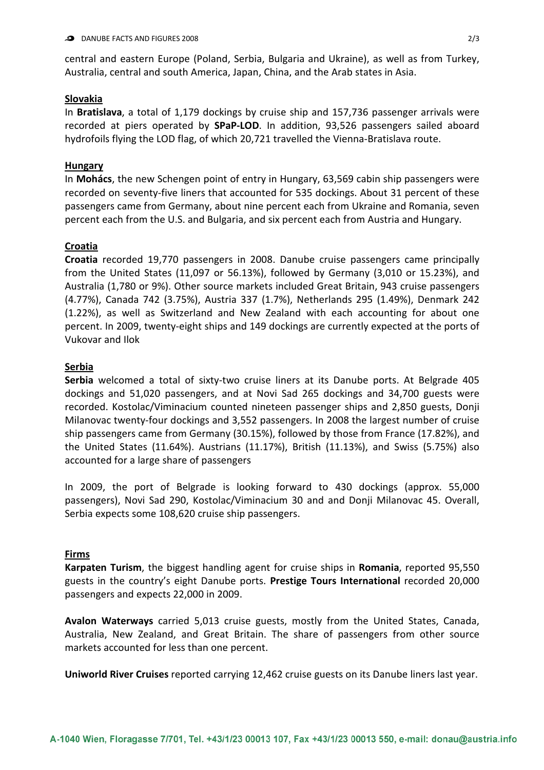central and eastern Europe (Poland, Serbia, Bulgaria and Ukraine), as well as from Turkey, Australia, central and south America, Japan, China, and the Arab states in Asia.

#### Slovakia

In Bratislava, a total of 1,179 dockings by cruise ship and 157,736 passenger arrivals were recorded at piers operated by SPaP-LOD. In addition, 93,526 passengers sailed aboard hydrofoils flying the LOD flag, of which 20,721 travelled the Vienna-Bratislava route.

### Hungary

In **Mohács**, the new Schengen point of entry in Hungary, 63,569 cabin ship passengers were recorded on seventy-five liners that accounted for 535 dockings. About 31 percent of these passengers came from Germany, about nine percent each from Ukraine and Romania, seven percent each from the U.S. and Bulgaria, and six percent each from Austria and Hungary.

## Croatia

Croatia recorded 19,770 passengers in 2008. Danube cruise passengers came principally from the United States (11,097 or 56.13%), followed by Germany (3,010 or 15.23%), and Australia (1,780 or 9%). Other source markets included Great Britain, 943 cruise passengers (4.77%), Canada 742 (3.75%), Austria 337 (1.7%), Netherlands 295 (1.49%), Denmark 242 (1.22%), as well as Switzerland and New Zealand with each accounting for about one percent. In 2009, twenty-eight ships and 149 dockings are currently expected at the ports of Vukovar and Ilok

#### Serbia

Serbia welcomed a total of sixty-two cruise liners at its Danube ports. At Belgrade 405 dockings and 51,020 passengers, and at Novi Sad 265 dockings and 34,700 guests were recorded. Kostolac/Viminacium counted nineteen passenger ships and 2,850 guests, Donji Milanovac twenty-four dockings and 3,552 passengers. In 2008 the largest number of cruise ship passengers came from Germany (30.15%), followed by those from France (17.82%), and the United States (11.64%). Austrians (11.17%), British (11.13%), and Swiss (5.75%) also accounted for a large share of passengers

In 2009, the port of Belgrade is looking forward to 430 dockings (approx. 55,000 passengers), Novi Sad 290, Kostolac/Viminacium 30 and and Donji Milanovac 45. Overall, Serbia expects some 108,620 cruise ship passengers.

#### Firms

Karpaten Turism, the biggest handling agent for cruise ships in Romania, reported 95,550 guests in the country's eight Danube ports. Prestige Tours International recorded 20,000 passengers and expects 22,000 in 2009.

Avalon Waterways carried 5,013 cruise guests, mostly from the United States, Canada, Australia, New Zealand, and Great Britain. The share of passengers from other source markets accounted for less than one percent.

Uniworld River Cruises reported carrying 12,462 cruise guests on its Danube liners last year.